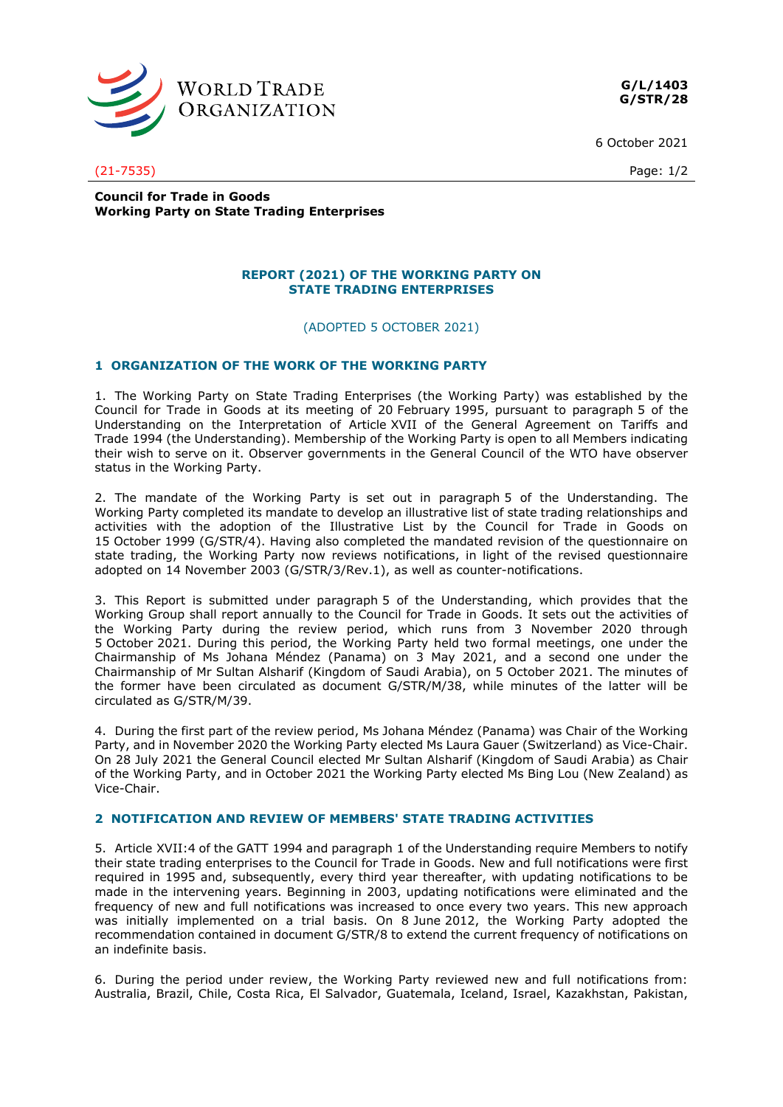

**G/L/1403 G/STR/28**

6 October 2021

(21-7535) Page: 1/2

**Council for Trade in Goods Working Party on State Trading Enterprises**

### **REPORT (2021) OF THE WORKING PARTY ON STATE TRADING ENTERPRISES**

(ADOPTED 5 OCTOBER 2021)

# **1 ORGANIZATION OF THE WORK OF THE WORKING PARTY**

1. The Working Party on State Trading Enterprises (the Working Party) was established by the Council for Trade in Goods at its meeting of 20 February 1995, pursuant to paragraph 5 of the Understanding on the Interpretation of Article XVII of the General Agreement on Tariffs and Trade 1994 (the Understanding). Membership of the Working Party is open to all Members indicating their wish to serve on it. Observer governments in the General Council of the WTO have observer status in the Working Party.

2. The mandate of the Working Party is set out in paragraph 5 of the Understanding. The Working Party completed its mandate to develop an illustrative list of state trading relationships and activities with the adoption of the Illustrative List by the Council for Trade in Goods on 15 October 1999 (G/STR/4). Having also completed the mandated revision of the questionnaire on state trading, the Working Party now reviews notifications, in light of the revised questionnaire adopted on 14 November 2003 (G/STR/3/Rev.1), as well as counter-notifications.

3. This Report is submitted under paragraph 5 of the Understanding, which provides that the Working Group shall report annually to the Council for Trade in Goods. It sets out the activities of the Working Party during the review period, which runs from 3 November 2020 through 5 October 2021. During this period, the Working Party held two formal meetings, one under the Chairmanship of Ms Johana Méndez (Panama) on 3 May 2021, and a second one under the Chairmanship of Mr Sultan Alsharif (Kingdom of Saudi Arabia), on 5 October 2021. The minutes of the former have been circulated as document G/STR/M/38, while minutes of the latter will be circulated as G/STR/M/39.

4. During the first part of the review period, Ms Johana Méndez (Panama) was Chair of the Working Party, and in November 2020 the Working Party elected Ms Laura Gauer (Switzerland) as Vice-Chair. On 28 July 2021 the General Council elected Mr Sultan Alsharif (Kingdom of Saudi Arabia) as Chair of the Working Party, and in October 2021 the Working Party elected Ms Bing Lou (New Zealand) as Vice-Chair.

### **2 NOTIFICATION AND REVIEW OF MEMBERS' STATE TRADING ACTIVITIES**

5. Article XVII:4 of the GATT 1994 and paragraph 1 of the Understanding require Members to notify their state trading enterprises to the Council for Trade in Goods. New and full notifications were first required in 1995 and, subsequently, every third year thereafter, with updating notifications to be made in the intervening years. Beginning in 2003, updating notifications were eliminated and the frequency of new and full notifications was increased to once every two years. This new approach was initially implemented on a trial basis. On 8 June 2012, the Working Party adopted the recommendation contained in document G/STR/8 to extend the current frequency of notifications on an indefinite basis.

6. During the period under review, the Working Party reviewed new and full notifications from: Australia, Brazil, Chile, Costa Rica, El Salvador, Guatemala, Iceland, Israel, Kazakhstan, Pakistan,